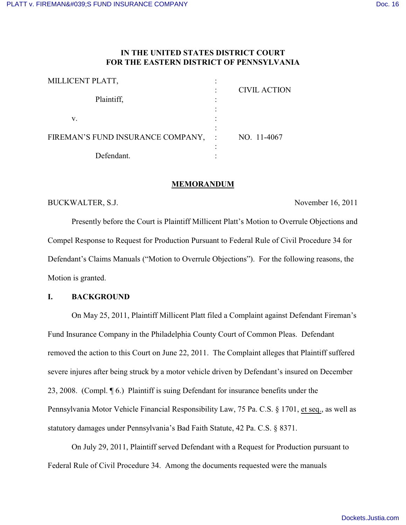# **IN THE UNITED STATES DISTRICT COURT FOR THE EASTERN DISTRICT OF PENNSYLVANIA**

| MILLICENT PLATT,                  |              |                     |
|-----------------------------------|--------------|---------------------|
| Plaintiff,                        |              | <b>CIVIL ACTION</b> |
| V.                                |              |                     |
| FIREMAN'S FUND INSURANCE COMPANY, | $\mathbf{I}$ | NO. 11-4067         |
| Defendant.                        |              |                     |

### **MEMORANDUM**

BUCKWALTER, S.J. November 16, 2011

Presently before the Court is Plaintiff Millicent Platt's Motion to Overrule Objections and Compel Response to Request for Production Pursuant to Federal Rule of Civil Procedure 34 for Defendant's Claims Manuals ("Motion to Overrule Objections"). For the following reasons, the Motion is granted.

# **I. BACKGROUND**

On May 25, 2011, Plaintiff Millicent Platt filed a Complaint against Defendant Fireman's Fund Insurance Company in the Philadelphia County Court of Common Pleas. Defendant removed the action to this Court on June 22, 2011. The Complaint alleges that Plaintiff suffered severe injures after being struck by a motor vehicle driven by Defendant's insured on December 23, 2008. (Compl. ¶ 6.) Plaintiff is suing Defendant for insurance benefits under the Pennsylvania Motor Vehicle Financial Responsibility Law, 75 Pa. C.S. § 1701, et seq., as well as statutory damages under Pennsylvania's Bad Faith Statute, 42 Pa. C.S. § 8371.

On July 29, 2011, Plaintiff served Defendant with a Request for Production pursuant to Federal Rule of Civil Procedure 34. Among the documents requested were the manuals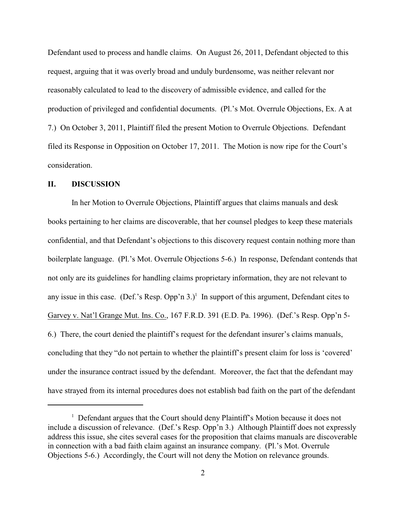Defendant used to process and handle claims. On August 26, 2011, Defendant objected to this request, arguing that it was overly broad and unduly burdensome, was neither relevant nor reasonably calculated to lead to the discovery of admissible evidence, and called for the production of privileged and confidential documents. (Pl.'s Mot. Overrule Objections, Ex. A at 7.) On October 3, 2011, Plaintiff filed the present Motion to Overrule Objections. Defendant filed its Response in Opposition on October 17, 2011. The Motion is now ripe for the Court's consideration.

## **II. DISCUSSION**

In her Motion to Overrule Objections, Plaintiff argues that claims manuals and desk books pertaining to her claims are discoverable, that her counsel pledges to keep these materials confidential, and that Defendant's objections to this discovery request contain nothing more than boilerplate language. (Pl.'s Mot. Overrule Objections 5-6.) In response, Defendant contends that not only are its guidelines for handling claims proprietary information, they are not relevant to any issue in this case. (Def.'s Resp. Opp'n 3.)<sup>1</sup> In support of this argument, Defendant cites to Garvey v. Nat'l Grange Mut. Ins. Co., 167 F.R.D. 391 (E.D. Pa. 1996). (Def.'s Resp. Opp'n 5- 6.) There, the court denied the plaintiff's request for the defendant insurer's claims manuals, concluding that they "do not pertain to whether the plaintiff's present claim for loss is 'covered' under the insurance contract issued by the defendant. Moreover, the fact that the defendant may have strayed from its internal procedures does not establish bad faith on the part of the defendant

 $<sup>1</sup>$  Defendant argues that the Court should deny Plaintiff's Motion because it does not</sup> include a discussion of relevance. (Def.'s Resp. Opp'n 3.) Although Plaintiff does not expressly address this issue, she cites several cases for the proposition that claims manuals are discoverable in connection with a bad faith claim against an insurance company. (Pl.'s Mot. Overrule Objections 5-6.) Accordingly, the Court will not deny the Motion on relevance grounds.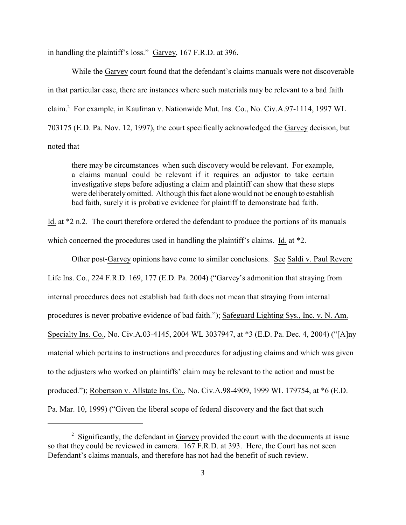in handling the plaintiff's loss." Garvey, 167 F.R.D. at 396.

While the Garvey court found that the defendant's claims manuals were not discoverable in that particular case, there are instances where such materials may be relevant to a bad faith claim.<sup>2</sup> For example, in Kaufman v. Nationwide Mut. Ins. Co., No. Civ.A.97-1114, 1997 WL 703175 (E.D. Pa. Nov. 12, 1997), the court specifically acknowledged the Garvey decision, but noted that

there may be circumstances when such discovery would be relevant. For example, a claims manual could be relevant if it requires an adjustor to take certain investigative steps before adjusting a claim and plaintiff can show that these steps were deliberately omitted. Although this fact alone would not be enough to establish bad faith, surely it is probative evidence for plaintiff to demonstrate bad faith.

Id. at \*2 n.2. The court therefore ordered the defendant to produce the portions of its manuals which concerned the procedures used in handling the plaintiff's claims. Id. at  $*2$ .

Other post-Garvey opinions have come to similar conclusions. See Saldi v. Paul Revere Life Ins. Co., 224 F.R.D. 169, 177 (E.D. Pa. 2004) ("Garvey's admonition that straying from internal procedures does not establish bad faith does not mean that straying from internal procedures is never probative evidence of bad faith."); Safeguard Lighting Sys., Inc. v. N. Am. Specialty Ins. Co., No. Civ.A.03-4145, 2004 WL 3037947, at \*3 (E.D. Pa. Dec. 4, 2004) ("[A]ny material which pertains to instructions and procedures for adjusting claims and which was given to the adjusters who worked on plaintiffs' claim may be relevant to the action and must be produced."); Robertson v. Allstate Ins. Co., No. Civ.A.98-4909, 1999 WL 179754, at \*6 (E.D. Pa. Mar. 10, 1999) ("Given the liberal scope of federal discovery and the fact that such

 $\frac{1}{2}$  Significantly, the defendant in Garvey provided the court with the documents at issue so that they could be reviewed in camera. 167 F.R.D. at 393. Here, the Court has not seen Defendant's claims manuals, and therefore has not had the benefit of such review.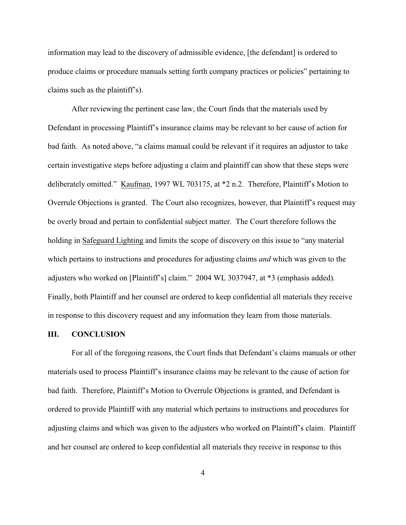information may lead to the discovery of admissible evidence, [the defendant] is ordered to produce claims or procedure manuals setting forth company practices or policies" pertaining to claims such as the plaintiff's).

After reviewing the pertinent case law, the Court finds that the materials used by Defendant in processing Plaintiff's insurance claims may be relevant to her cause of action for bad faith. As noted above, "a claims manual could be relevant if it requires an adjustor to take certain investigative steps before adjusting a claim and plaintiff can show that these steps were deliberately omitted." Kaufman, 1997 WL 703175, at \*2 n.2. Therefore, Plaintiff's Motion to Overrule Objections is granted. The Court also recognizes, however, that Plaintiff's request may be overly broad and pertain to confidential subject matter. The Court therefore follows the holding in Safeguard Lighting and limits the scope of discovery on this issue to "any material which pertains to instructions and procedures for adjusting claims *and* which was given to the adjusters who worked on [Plaintiff's] claim." 2004 WL 3037947, at \*3 (emphasis added). Finally, both Plaintiff and her counsel are ordered to keep confidential all materials they receive in response to this discovery request and any information they learn from those materials.

#### **III. CONCLUSION**

For all of the foregoing reasons, the Court finds that Defendant's claims manuals or other materials used to process Plaintiff's insurance claims may be relevant to the cause of action for bad faith. Therefore, Plaintiff's Motion to Overrule Objections is granted, and Defendant is ordered to provide Plaintiff with any material which pertains to instructions and procedures for adjusting claims and which was given to the adjusters who worked on Plaintiff's claim. Plaintiff and her counsel are ordered to keep confidential all materials they receive in response to this